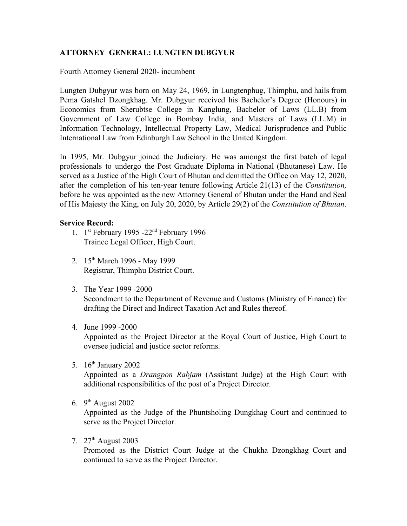# **ATTORNEY GENERAL: LUNGTEN DUBGYUR**

Fourth Attorney General 2020- incumbent

Lungten Dubgyur was born on May 24, 1969, in Lungtenphug, Thimphu, and hails from Pema Gatshel Dzongkhag. Mr. Dubgyur received his Bachelor's Degree (Honours) in Economics from Sherubtse College in Kanglung, Bachelor of Laws (LL.B) from Government of Law College in Bombay India, and Masters of Laws (LL.M) in Information Technology, Intellectual Property Law, Medical Jurisprudence and Public International Law from Edinburgh Law School in the United Kingdom.

In 1995, Mr. Dubgyur joined the Judiciary. He was amongst the first batch of legal professionals to undergo the Post Graduate Diploma in National (Bhutanese) Law. He served as a Justice of the High Court of Bhutan and demitted the Office on May 12, 2020, after the completion of his ten-year tenure following Article 21(13) of the *Constitution,* before he was appointed as the new Attorney General of Bhutan under the Hand and Seal of His Majesty the King, on July 20, 2020, by Article 29(2) of the *Constitution of Bhutan*.

## **Service Record:**

- 1. 1<sup>st</sup> February 1995 -22<sup>nd</sup> February 1996 Trainee Legal Officer, High Court.
- 2. 15<sup>th</sup> March 1996 May 1999 Registrar, Thimphu District Court.
- 3. The Year 1999 -2000

Secondment to the Department of Revenue and Customs (Ministry of Finance) for drafting the Direct and Indirect Taxation Act and Rules thereof.

4. June 1999 -2000

Appointed as the Project Director at the Royal Court of Justice, High Court to oversee judicial and justice sector reforms.

5. 16<sup>th</sup> January 2002

Appointed as a *Drangpon Rabjam* (Assistant Judge) at the High Court with additional responsibilities of the post of a Project Director.

6.  $9<sup>th</sup>$  August 2002

Appointed as the Judge of the Phuntsholing Dungkhag Court and continued to serve as the Project Director.

7. 27<sup>th</sup> August 2003

Promoted as the District Court Judge at the Chukha Dzongkhag Court and continued to serve as the Project Director.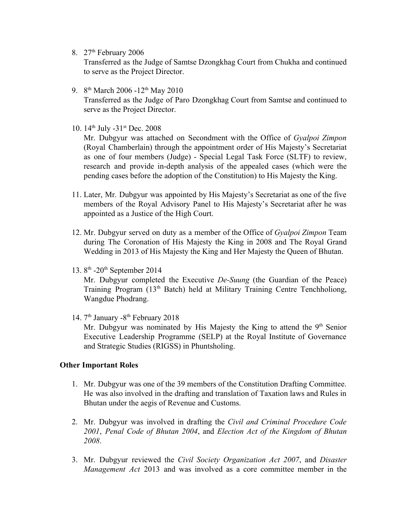8. 27<sup>th</sup> February 2006

Transferred as the Judge of Samtse Dzongkhag Court from Chukha and continued to serve as the Project Director.

- 9. 8<sup>th</sup> March 2006 -12<sup>th</sup> May 2010 Transferred as the Judge of Paro Dzongkhag Court from Samtse and continued to serve as the Project Director.
- 10. 14<sup>th</sup> July -31<sup>st</sup> Dec. 2008

Mr. Dubgyur was attached on Secondment with the Office of *Gyalpoi Zimpon* (Royal Chamberlain) through the appointment order of His Majesty's Secretariat as one of four members (Judge) - Special Legal Task Force (SLTF) to review, research and provide in-depth analysis of the appealed cases (which were the pending cases before the adoption of the Constitution) to His Majesty the King.

- 11. Later, Mr. Dubgyur was appointed by His Majesty's Secretariat as one of the five members of the Royal Advisory Panel to His Majesty's Secretariat after he was appointed as a Justice of the High Court.
- 12. Mr. Dubgyur served on duty as a member of the Office of *Gyalpoi Zimpon* Team during The Coronation of His Majesty the King in 2008 and The Royal Grand Wedding in 2013 of His Majesty the King and Her Majesty the Queen of Bhutan.
- 13. 8<sup>th</sup> -20<sup>th</sup> September 2014

Mr. Dubgyur completed the Executive *De-Suung* (the Guardian of the Peace) Training Program (13th Batch) held at Military Training Centre Tenchholiong, Wangdue Phodrang.

14. 7<sup>th</sup> January -8<sup>th</sup> February 2018

Mr. Dubgyur was nominated by His Majesty the King to attend the 9<sup>th</sup> Senior Executive Leadership Programme (SELP) at the Royal Institute of Governance and Strategic Studies (RIGSS) in Phuntsholing.

## **Other Important Roles**

- 1. Mr. Dubgyur was one of the 39 members of the Constitution Drafting Committee. He was also involved in the drafting and translation of Taxation laws and Rules in Bhutan under the aegis of Revenue and Customs.
- 2. Mr. Dubgyur was involved in drafting the *Civil and Criminal Procedure Code 2001*, *Penal Code of Bhutan 2004*, and *Election Act of the Kingdom of Bhutan 2008*.
- 3. Mr. Dubgyur reviewed the *Civil Society Organization Act 2007*, and *Disaster Management Act* 2013 and was involved as a core committee member in the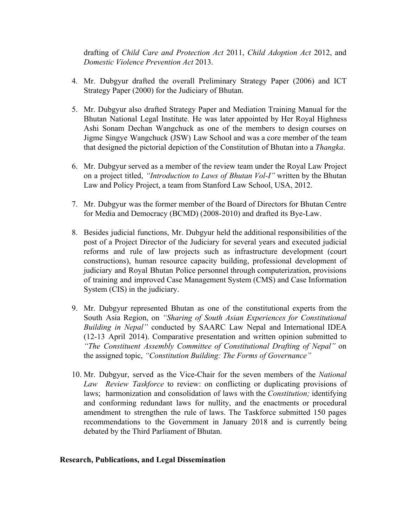drafting of *Child Care and Protection Act* 2011, *Child Adoption Act* 2012, and *Domestic Violence Prevention Act* 2013.

- 4. Mr. Dubgyur drafted the overall Preliminary Strategy Paper (2006) and ICT Strategy Paper (2000) for the Judiciary of Bhutan.
- 5. Mr. Dubgyur also drafted Strategy Paper and Mediation Training Manual for the Bhutan National Legal Institute. He was later appointed by Her Royal Highness Ashi Sonam Dechan Wangchuck as one of the members to design courses on Jigme Singye Wangchuck (JSW) Law School and was a core member of the team that designed the pictorial depiction of the Constitution of Bhutan into a *Thangka*.
- 6. Mr. Dubgyur served as a member of the review team under the Royal Law Project on a project titled, *"Introduction to Laws of Bhutan Vol-I"* written by the Bhutan Law and Policy Project, a team from Stanford Law School, USA, 2012.
- 7. Mr. Dubgyur was the former member of the Board of Directors for Bhutan Centre for Media and Democracy (BCMD) (2008-2010) and drafted its Bye-Law.
- 8. Besides judicial functions, Mr. Dubgyur held the additional responsibilities of the post of a Project Director of the Judiciary for several years and executed judicial reforms and rule of law projects such as infrastructure development (court constructions), human resource capacity building, professional development of judiciary and Royal Bhutan Police personnel through computerization, provisions of training and improved Case Management System (CMS) and Case Information System (CIS) in the judiciary.
- 9. Mr. Dubgyur represented Bhutan as one of the constitutional experts from the South Asia Region, on *"Sharing of South Asian Experiences for Constitutional Building in Nepal"* conducted by SAARC Law Nepal and International IDEA (12-13 April 2014). Comparative presentation and written opinion submitted to *"The Constituent Assembly Committee of Constitutional Drafting of Nepal"* on the assigned topic, *"Constitution Building: The Forms of Governance"*
- 10. Mr. Dubgyur, served as the Vice-Chair for the seven members of the *National Law Review Taskforce* to review: on conflicting or duplicating provisions of laws; harmonization and consolidation of laws with the *Constitution;* identifying and conforming redundant laws for nullity, and the enactments or procedural amendment to strengthen the rule of laws. The Taskforce submitted 150 pages recommendations to the Government in January 2018 and is currently being debated by the Third Parliament of Bhutan.

#### **Research, Publications, and Legal Dissemination**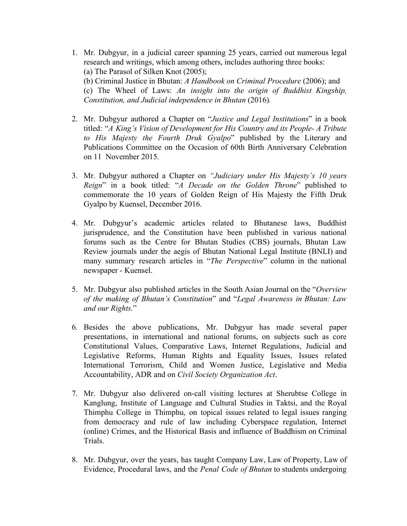- 1. Mr. Dubgyur, in a judicial career spanning 25 years, carried out numerous legal research and writings, which among others, includes authoring three books: (a) The Parasol of Silken Knot (2005); (b) Criminal Justice in Bhutan: *A Handbook on Criminal Procedure* (2006); and (c) The Wheel of Laws: *An insight into the origin of Buddhist Kingship, Constitution, and Judicial independence in Bhutan* (2016)*.*
- 2. Mr. Dubgyur authored a Chapter on "*Justice and Legal Institutions*" in a book titled: "*A King's Vision of Development for His Country and its People- A Tribute to His Majesty the Fourth Druk Gyalpo*" published by the Literary and Publications Committee on the Occasion of 60th Birth Anniversary Celebration on 11 November 2015.
- 3. Mr. Dubgyur authored a Chapter on *"Judiciary under His Majesty's 10 years Reign*" in a book titled: "*A Decade on the Golden Throne*" published to commemorate the 10 years of Golden Reign of His Majesty the Fifth Druk Gyalpo by Kuensel, December 2016.
- 4. Mr. Dubgyur's academic articles related to Bhutanese laws, Buddhist jurisprudence, and the Constitution have been published in various national forums such as the Centre for Bhutan Studies (CBS) journals, Bhutan Law Review journals under the aegis of Bhutan National Legal Institute (BNLI) and many summary research articles in "*The Perspective*" column in the national newspaper - Kuensel.
- 5. Mr. Dubgyur also published articles in the South Asian Journal on the "*Overview of the making of Bhutan's Constitution*" and "*Legal Awareness in Bhutan: Law and our Rights.*"
- 6. Besides the above publications, Mr. Dubgyur has made several paper presentations, in international and national forums, on subjects such as core Constitutional Values, Comparative Laws, Internet Regulations, Judicial and Legislative Reforms, Human Rights and Equality Issues, Issues related International Terrorism, Child and Women Justice, Legislative and Media Accountability, ADR and on *Civil Society Organization Act*.
- 7. Mr. Dubgyur also delivered on-call visiting lectures at Sherubtse College in Kanglung, Institute of Language and Cultural Studies in Taktsi, and the Royal Thimphu College in Thimphu, on topical issues related to legal issues ranging from democracy and rule of law including Cyberspace regulation, Internet (online) Crimes, and the Historical Basis and influence of Buddhism on Criminal Trials.
- 8. Mr. Dubgyur, over the years, has taught Company Law, Law of Property, Law of Evidence, Procedural laws, and the *Penal Code of Bhutan* to students undergoing